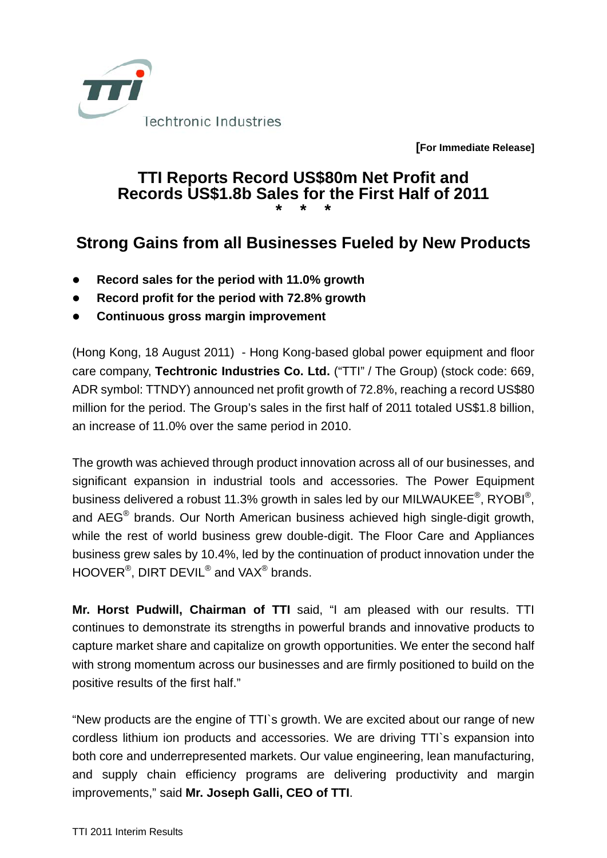

**[For Immediate Release]** 

## **TTI Reports Record US\$80m Net Profit and Records US\$1.8b Sales for the First Half of 2011 \* \* \***

## **Strong Gains from all Businesses Fueled by New Products**

- z **Record sales for the period with 11.0% growth**
- z **Record profit for the period with 72.8% growth**
- **Continuous gross margin improvement**

(Hong Kong, 18 August 2011) - Hong Kong-based global power equipment and floor care company, **Techtronic Industries Co. Ltd.** ("TTI" / The Group) (stock code: 669, ADR symbol: TTNDY) announced net profit growth of 72.8%, reaching a record US\$80 million for the period. The Group's sales in the first half of 2011 totaled US\$1.8 billion, an increase of 11.0% over the same period in 2010.

The growth was achieved through product innovation across all of our businesses, and significant expansion in industrial tools and accessories. The Power Equipment business delivered a robust 11.3% growth in sales led by our MILWAUKEE®, RYOBI®, and AEG® brands. Our North American business achieved high single-digit growth, while the rest of world business grew double-digit. The Floor Care and Appliances business grew sales by 10.4%, led by the continuation of product innovation under the HOOVER<sup>®</sup>, DIRT DEVIL<sup>®</sup> and VAX<sup>®</sup> brands.

**Mr. Horst Pudwill, Chairman of TTI** said, "I am pleased with our results. TTI continues to demonstrate its strengths in powerful brands and innovative products to capture market share and capitalize on growth opportunities. We enter the second half with strong momentum across our businesses and are firmly positioned to build on the positive results of the first half."

"New products are the engine of TTI`s growth. We are excited about our range of new cordless lithium ion products and accessories. We are driving TTI`s expansion into both core and underrepresented markets. Our value engineering, lean manufacturing, and supply chain efficiency programs are delivering productivity and margin improvements," said **Mr. Joseph Galli, CEO of TTI**.